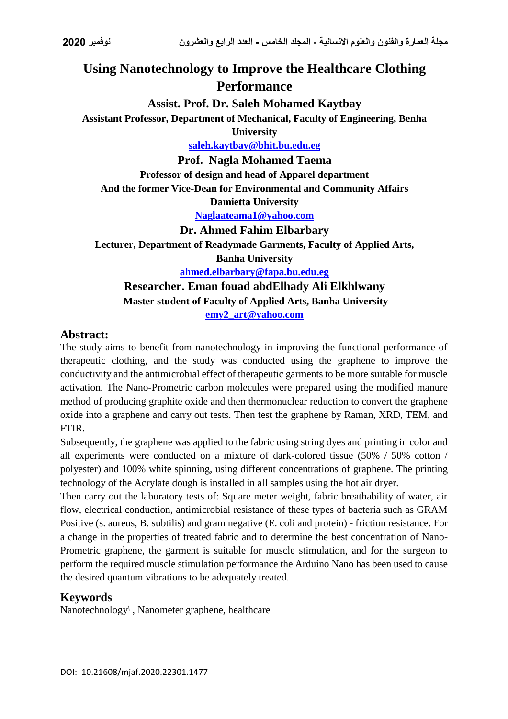# **Using Nanotechnology to Improve the Healthcare Clothing Performance**

**Assist. Prof. Dr. Saleh Mohamed Kaytbay**

**Assistant Professor, Department of Mechanical, Faculty of Engineering, Benha** 

**University**

**[saleh.kaytbay@bhit.bu.edu.eg](mailto:saleh.kaytbay@bhit.bu.edu.eg)**

**Prof. Nagla Mohamed Taema**

**Professor of design and head of Apparel department And the former Vice-Dean for Environmental and Community Affairs Damietta University**

**[Naglaateama1@yahoo.com](mailto:Naglaateama1@yahoo.com)**

**Dr. Ahmed Fahim Elbarbary**

**Lecturer, Department of Readymade Garments, Faculty of Applied Arts, Banha University [ahmed.elbarbary@fapa.bu.edu.eg](mailto:ahmed.elbarbary@fapa.bu.edu.eg)**

**Researcher. Eman fouad abdElhady Ali Elkhlwany Master student of Faculty of Applied Arts, Banha University [emy2\\_art@yahoo.com](mailto:emy2_art@yahoo.com)**

# **Abstract:**

The study aims to benefit from nanotechnology in improving the functional performance of therapeutic clothing, and the study was conducted using the graphene to improve the conductivity and the antimicrobial effect of therapeutic garments to be more suitable for muscle activation. The Nano-Prometric carbon molecules were prepared using the modified manure method of producing graphite oxide and then thermonuclear reduction to convert the graphene oxide into a graphene and carry out tests. Then test the graphene by Raman, XRD, TEM, and FTIR.

Subsequently, the graphene was applied to the fabric using string dyes and printing in color and all experiments were conducted on a mixture of dark-colored tissue (50% / 50% cotton / polyester) and 100% white spinning, using different concentrations of graphene. The printing technology of the Acrylate dough is installed in all samples using the hot air dryer.

Then carry out the laboratory tests of: Square meter weight, fabric breathability of water, air flow, electrical conduction, antimicrobial resistance of these types of bacteria such as GRAM Positive (s. aureus, B. subtilis) and gram negative (E. coli and protein) - friction resistance. For a change in the properties of treated fabric and to determine the best concentration of Nano-Prometric graphene, the garment is suitable for muscle stimulation, and for the surgeon to perform the required muscle stimulation performance the Arduino Nano has been used to cause the desired quantum vibrations to be adequately treated.

# **Keywords**

Nanotechnologyا , Nanometer graphene, healthcare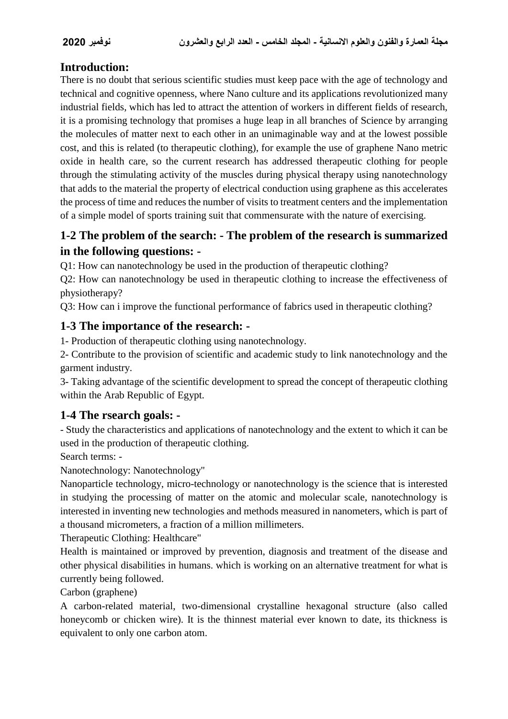# **Introduction:**

There is no doubt that serious scientific studies must keep pace with the age of technology and technical and cognitive openness, where Nano culture and its applications revolutionized many industrial fields, which has led to attract the attention of workers in different fields of research, it is a promising technology that promises a huge leap in all branches of Science by arranging the molecules of matter next to each other in an unimaginable way and at the lowest possible cost, and this is related (to therapeutic clothing), for example the use of graphene Nano metric oxide in health care, so the current research has addressed therapeutic clothing for people through the stimulating activity of the muscles during physical therapy using nanotechnology that adds to the material the property of electrical conduction using graphene as this accelerates the process of time and reduces the number of visits to treatment centers and the implementation of a simple model of sports training suit that commensurate with the nature of exercising.

# **1-2 The problem of the search: - The problem of the research is summarized in the following questions: -**

Q1: How can nanotechnology be used in the production of therapeutic clothing?

Q2: How can nanotechnology be used in therapeutic clothing to increase the effectiveness of physiotherapy?

Q3: How can i improve the functional performance of fabrics used in therapeutic clothing?

# **1-3 The importance of the research: -**

1- Production of therapeutic clothing using nanotechnology.

2- Contribute to the provision of scientific and academic study to link nanotechnology and the garment industry.

3- Taking advantage of the scientific development to spread the concept of therapeutic clothing within the Arab Republic of Egypt.

# **1-4 The rsearch goals: -**

- Study the characteristics and applications of nanotechnology and the extent to which it can be used in the production of therapeutic clothing.

Search terms: -

Nanotechnology: Nanotechnology"

Nanoparticle technology, micro-technology or nanotechnology is the science that is interested in studying the processing of matter on the atomic and molecular scale, nanotechnology is interested in inventing new technologies and methods measured in nanometers, which is part of a thousand micrometers, a fraction of a million millimeters.

Therapeutic Clothing: Healthcare"

Health is maintained or improved by prevention, diagnosis and treatment of the disease and other physical disabilities in humans. which is working on an alternative treatment for what is currently being followed.

Carbon (graphene)

A carbon-related material, two-dimensional crystalline hexagonal structure (also called honeycomb or chicken wire). It is the thinnest material ever known to date, its thickness is equivalent to only one carbon atom.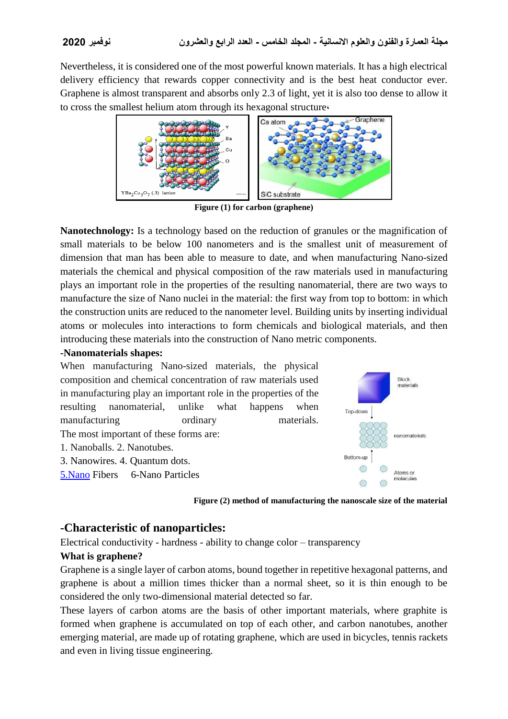Nevertheless, it is considered one of the most powerful known materials. It has a high electrical delivery efficiency that rewards copper connectivity and is the best heat conductor ever. Graphene is almost transparent and absorbs only 2.3 of light, yet it is also too dense to allow it to cross the smallest helium atom through its hexagonal structure،



**Figure (1) for carbon (graphene)**

**Nanotechnology:** Is a technology based on the reduction of granules or the magnification of small materials to be below 100 nanometers and is the smallest unit of measurement of dimension that man has been able to measure to date, and when manufacturing Nano-sized materials the chemical and physical composition of the raw materials used in manufacturing plays an important role in the properties of the resulting nanomaterial, there are two ways to manufacture the size of Nano nuclei in the material: the first way from top to bottom: in which the construction units are reduced to the nanometer level. Building units by inserting individual atoms or molecules into interactions to form chemicals and biological materials, and then introducing these materials into the construction of Nano metric components.

#### **-Nanomaterials shapes:**



**Figure (2) method of manufacturing the nanoscale size of the material**

## **-Characteristic of nanoparticles:**

Electrical conductivity - hardness - ability to change color – transparency

#### **What is graphene?**

Graphene is a single layer of carbon atoms, bound together in repetitive hexagonal patterns, and graphene is about a million times thicker than a normal sheet, so it is thin enough to be considered the only two-dimensional material detected so far.

These layers of carbon atoms are the basis of other important materials, where graphite is formed when graphene is accumulated on top of each other, and carbon nanotubes, another emerging material, are made up of rotating graphene, which are used in bicycles, tennis rackets and even in living tissue engineering.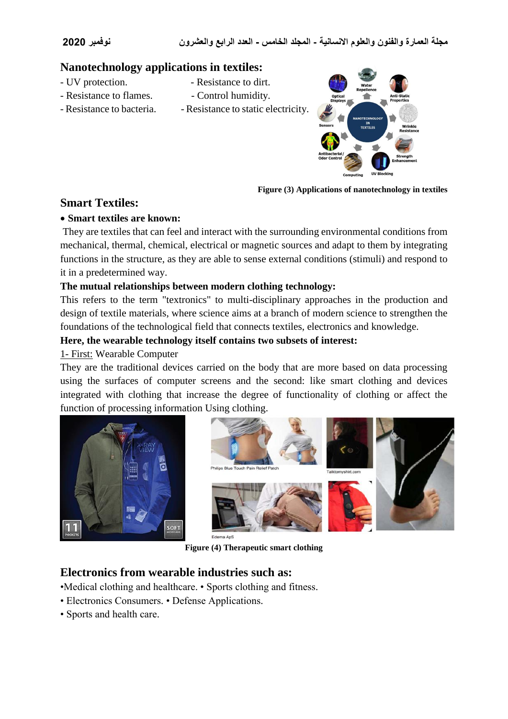## **Nanotechnology applications in textiles:**

- UV protection.  $\blacksquare$  Resistance to dirt.
	-
- Resistance to flames.  $\qquad \qquad$  Control humidity.
	-
- Resistance to bacteria. Resistance to static electricity.



**Figure (3) Applications of nanotechnology in textiles**

## **Smart Textiles:**

#### **Smart textiles are known:**

They are textiles that can feel and interact with the surrounding environmental conditions from mechanical, thermal, chemical, electrical or magnetic sources and adapt to them by integrating functions in the structure, as they are able to sense external conditions (stimuli) and respond to it in a predetermined way.

### **The mutual relationships between modern clothing technology:**

This refers to the term "textronics" to multi-disciplinary approaches in the production and design of textile materials, where science aims at a branch of modern science to strengthen the foundations of the technological field that connects textiles, electronics and knowledge.

#### **Here, the wearable technology itself contains two subsets of interest:**

#### 1- First: Wearable Computer

They are the traditional devices carried on the body that are more based on data processing using the surfaces of computer screens and the second: like smart clothing and devices integrated with clothing that increase the degree of functionality of clothing or affect the function of processing information Using clothing.





**Figure (4) Therapeutic smart clothing**

## **Electronics from wearable industries such as:**

•Medical clothing and healthcare. • Sports clothing and fitness.

- Electronics Consumers. Defense Applications.
- Sports and health care.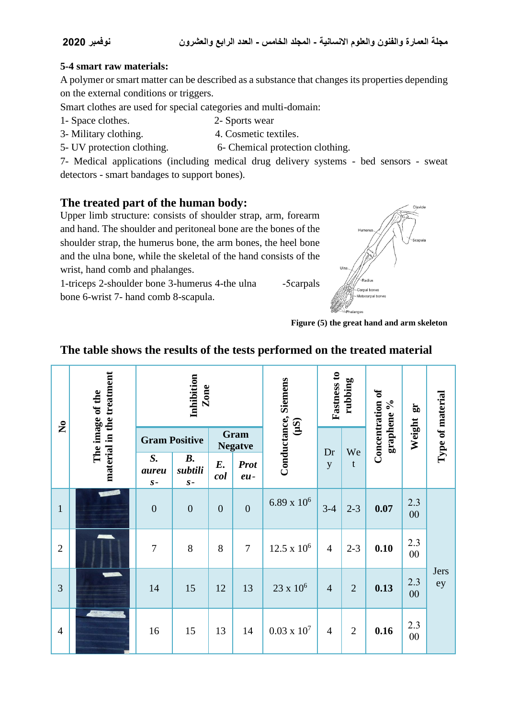### **5-4 smart raw materials:**

A polymer or smart matter can be described as a substance that changes its properties depending on the external conditions or triggers.

Smart clothes are used for special categories and multi-domain:

- 1- Space clothes. 2- Sports wear
	-
- 3- Military clothing. 4. Cosmetic textiles.
- 5- UV protection clothing. 6- Chemical protection clothing.
	-

7- Medical applications (including medical drug delivery systems - bed sensors - sweat detectors - smart bandages to support bones).

# **The treated part of the human body:**

Upper limb structure: consists of shoulder strap, arm, forearm and hand. The shoulder and peritoneal bone are the bones of the shoulder strap, the humerus bone, the arm bones, the heel bone and the ulna bone, while the skeletal of the hand consists of the wrist, hand comb and phalanges.

1-triceps 2-shoulder bone 3-humerus 4-the ulna -5carpals bone 6-wrist 7- hand comb 8-scapula.



**Figure (5) the great hand and arm skeleton**

| $\tilde{\mathbf{z}}$ | material in the treatment<br>The image of the | Inhibition<br>Zone   |                                        |                        |                      | Conductance, Siemens | Fastness to<br>rubbing |                | Concentration of<br>$\%$ | $\mathbf{g}$  | Type of material |
|----------------------|-----------------------------------------------|----------------------|----------------------------------------|------------------------|----------------------|----------------------|------------------------|----------------|--------------------------|---------------|------------------|
|                      |                                               | <b>Gram Positive</b> |                                        | Gram<br><b>Negatve</b> |                      | (uS)                 |                        | We             | graphene                 | Weight        |                  |
|                      |                                               | S.<br>aureu<br>$S -$ | $\boldsymbol{B}$ .<br>subtili<br>$S -$ | $E_{\cdot}$<br>col     | <b>Prot</b><br>$eu-$ |                      | Dr<br>y                | $\mathbf t$    |                          |               |                  |
| $\mathbf{1}$         | <b>PARTS</b>                                  | $\overline{0}$       | $\mathbf{0}$                           | $\overline{0}$         | $\boldsymbol{0}$     | $6.89 \times 10^{6}$ | $3-4$                  | $2 - 3$        | 0.07                     | 2.3<br>00     |                  |
| $\overline{2}$       |                                               | $\overline{7}$       | 8                                      | 8                      | $\tau$               | $12.5 \times 10^6$   | $\overline{4}$         | $2 - 3$        | 0.10                     | 2.3<br>$00\,$ |                  |
| 3                    | <b>SECRETS</b>                                | 14                   | 15                                     | 12                     | 13                   | $23 \times 10^6$     | $\overline{4}$         | $\overline{2}$ | 0.13                     | 2.3<br>$00\,$ | Jers<br>ey       |
| $\overline{4}$       | <b>CONTRACTOR</b>                             | 16                   | 15                                     | 13                     | 14                   | $0.03 \times 10^{7}$ | $\overline{4}$         | $\overline{2}$ | 0.16                     | 2.3<br>$00\,$ |                  |

# **The table shows the results of the tests performed on the treated material**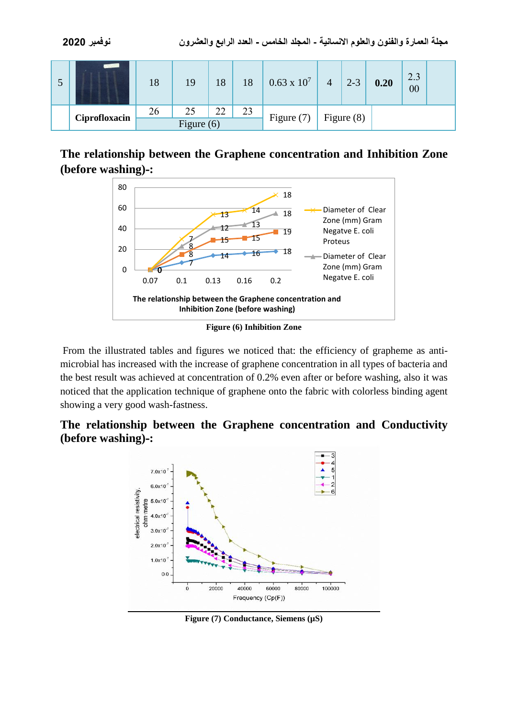|  |               | 18           | 19 | 18 | 18 | $0.63 \times 10^{7}$ | $\overline{4}$ | $2 - 3$ | 0.20 | 2.3<br>00 |  |
|--|---------------|--------------|----|----|----|----------------------|----------------|---------|------|-----------|--|
|  | Ciprofloxacin | 26           | 25 | 22 | 23 | Figure $(7)$         |                |         |      |           |  |
|  |               | Figure $(6)$ |    |    |    |                      | Figure $(8)$   |         |      |           |  |

# **The relationship between the Graphene concentration and Inhibition Zone (before washing)-:**



**Figure (6) Inhibition Zone**

From the illustrated tables and figures we noticed that: the efficiency of grapheme as antimicrobial has increased with the increase of graphene concentration in all types of bacteria and the best result was achieved at concentration of 0.2% even after or before washing, also it was noticed that the application technique of graphene onto the fabric with colorless binding agent showing a very good wash-fastness.

**The relationship between the Graphene concentration and Conductivity (before washing)-:**



**Figure (7) Conductance, Siemens (µS)**